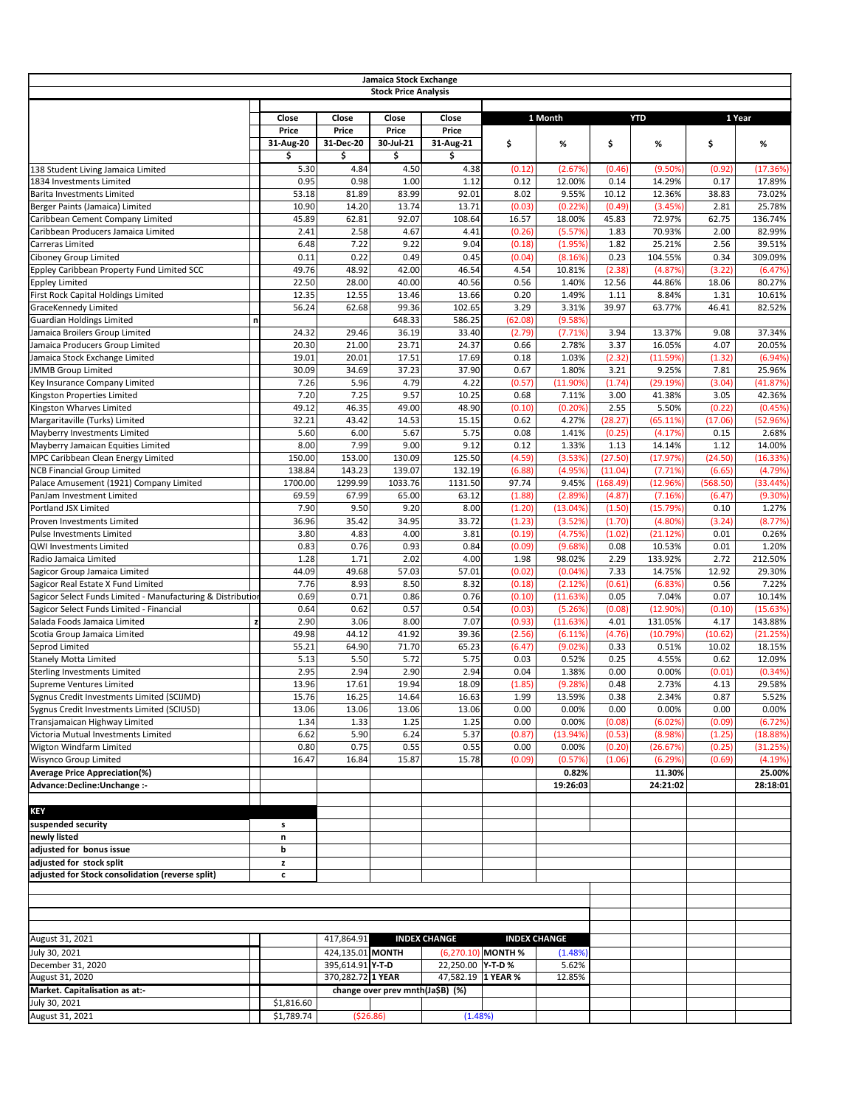|                                                                      |                           |                    | Jamaica Stock Exchange           |                           |                      |                      |                  |                    |                  |                        |
|----------------------------------------------------------------------|---------------------------|--------------------|----------------------------------|---------------------------|----------------------|----------------------|------------------|--------------------|------------------|------------------------|
|                                                                      |                           |                    | <b>Stock Price Analysis</b>      |                           |                      |                      |                  |                    |                  |                        |
|                                                                      |                           |                    |                                  |                           |                      |                      |                  |                    |                  |                        |
|                                                                      | <b>Close</b>              | Close              | Close                            | <b>Close</b>              |                      | 1 Month              |                  | <b>YTD</b>         |                  | 1 Year                 |
|                                                                      | <b>Price</b><br>31-Aug-20 | Price<br>31-Dec-20 | <b>Price</b><br>30-Jul-21        | <b>Price</b><br>31-Aug-21 | \$                   | %                    | \$               | %                  | \$               | %                      |
|                                                                      | Ś                         | \$                 | \$                               | \$                        |                      |                      |                  |                    |                  |                        |
| 138 Student Living Jamaica Limited                                   | 5.30                      | 4.84               | 4.50                             | 4.38                      | (0.12)               | (2.67%               | (0.46)           | (9.50%             | (0.92)           | (17.36%)               |
| 1834 Investments Limited                                             | 0.95                      | 0.98               | 1.00                             | 1.12                      | 0.12                 | 12.00%               | 0.14             | 14.29%             | 0.17             | 17.89%                 |
| Barita Investments Limited                                           | 53.18                     | 81.89              | 83.99                            | 92.01                     | 8.02                 | 9.55%                | 10.12            | 12.36%             | 38.83            | 73.02%                 |
| Berger Paints (Jamaica) Limited                                      | 10.90                     | 14.20              | 13.74                            | 13.71                     | (0.03)               | (0.22%               | (0.49)           | (3.45%             | 2.81             | 25.78%                 |
| Caribbean Cement Company Limited                                     | 45.89                     | 62.81              | 92.07                            | 108.64                    | 16.57                | 18.00%               | 45.83            | 72.97%             | 62.75            | 136.74%                |
| Caribbean Producers Jamaica Limited                                  | 2.41                      | 2.58               | 4.67                             | 4.41                      | (0.26)               | (5.57%)              | 1.83             | 70.93%             | 2.00             | 82.99%                 |
| <b>Carreras Limited</b><br><b>Ciboney Group Limited</b>              | 6.48<br>0.11              | 7.22<br>0.22       | 9.22<br>0.49                     | 9.04<br>0.45              | (0.18)<br>(0.04)     | (1.95%)<br>(8.16%)   | 1.82<br>0.23     | 25.21%<br>104.55%  | 2.56<br>0.34     | 39.51%<br>309.09%      |
| Eppley Caribbean Property Fund Limited SCC                           | 49.76                     | 48.92              | 42.00                            | 46.54                     | 4.54                 | 10.81%               | (2.38)           | (4.87%)            | (3.22)           | (6.47%)                |
| Eppley Limited                                                       | 22.50                     | 28.00              | 40.00                            | 40.56                     | 0.56                 | 1.40%                | 12.56            | 44.86%             | 18.06            | 80.27%                 |
| First Rock Capital Holdings Limited                                  | 12.35                     | 12.55              | 13.46                            | 13.66                     | 0.20                 | 1.49%                | 1.11             | 8.84%              | 1.31             | 10.61%                 |
| GraceKennedy Limited                                                 | 56.24                     | 62.68              | 99.36                            | 102.65                    | 3.29                 | 3.31%                | 39.97            | 63.77%             | 46.41            | 82.52%                 |
| <b>Guardian Holdings Limited</b>                                     | n                         |                    | 648.33                           | 586.25                    | (62.08)              | (9.58%)              |                  |                    |                  |                        |
| Jamaica Broilers Group Limited                                       | 24.32                     | 29.46              | 36.19                            | 33.40                     | (2.79)               | (7.71%)              | 3.94             | 13.37%             | 9.08             | 37.34%                 |
| Jamaica Producers Group Limited                                      | 20.30                     | 21.00              | 23.71                            | 24.37                     | 0.66                 | 2.78%                | 3.37             | 16.05%             | 4.07             | 20.05%                 |
| Jamaica Stock Exchange Limited                                       | 19.01                     | 20.01              | 17.51                            | 17.69                     | 0.18                 | 1.03%                | (2.32)           | $(11.59\%)$        | (1.32)           | (6.94%)                |
| <b>JMMB</b> Group Limited                                            | 30.09                     | 34.69              | 37.23                            | 37.90                     | 0.67                 | 1.80%                | 3.21             | 9.25%              | 7.81             | 25.96%                 |
| Key Insurance Company Limited<br>Kingston Properties Limited         | 7.26<br>7.20              | 5.96<br>7.25       | 4.79<br>9.57                     | 4.22<br>10.25             | (0.57)<br>0.68       | $(11.90\%)$<br>7.11% | (1.74)<br>3.00   | (29.19%)<br>41.38% | (3.04)<br>3.05   | (41.87%)<br>42.36%     |
| Kingston Wharves Limited                                             | 49.12                     | 46.35              | 49.00                            | 48.90                     | (0.10)               | (0.20%               | 2.55             | 5.50%              | (0.22)           | (0.45%)                |
| Margaritaville (Turks) Limited                                       | 32.21                     | 43.42              | 14.53                            | 15.15                     | 0.62                 | 4.27%                | (28.27)          | (65.11%)           | (17.06)          | (52.96%)               |
| Mayberry Investments Limited                                         | 5.60                      | 6.00               | 5.67                             | 5.75                      | 0.08                 | 1.41%                | (0.25)           | (4.17%)            | 0.15             | 2.68%                  |
| Mayberry Jamaican Equities Limited                                   | 8.00                      | 7.99               | 9.00                             | 9.12                      | 0.12                 | 1.33%                | 1.13             | 14.14%             | 1.12             | 14.00%                 |
| MPC Caribbean Clean Energy Limited                                   | 150.00                    | 153.00             | 130.09                           | 125.50                    | (4.59)               | (3.53%)              | (27.50)          | (17.97%)           | (24.50)          | (16.33%)               |
| <b>NCB Financial Group Limited</b>                                   | 138.84                    | 143.23             | 139.07                           | 132.19                    | (6.88)               | (4.95%)              | (11.04)          | (7.71%)            | (6.65)           | (4.79%)                |
| Palace Amusement (1921) Company Limited                              | 1700.00                   | 1299.99            | 1033.76                          | 1131.50                   | 97.74                | 9.45%                | (168.49)         | (12.96%)           | (568.50)         | (33.44%)               |
| PanJam Investment Limited                                            | 69.59                     | 67.99              | 65.00                            | 63.12                     | (1.88)               | (2.89%)              | (4.87)           | (7.16%)            | (6.47)           | (9.30%)                |
| Portland JSX Limited                                                 | 7.90                      | 9.50               | 9.20                             | 8.00                      | (1.20)               | (13.04%)             | (1.50)           | (15.79%)           | 0.10             | 1.27%                  |
| Proven Investments Limited                                           | 36.96                     | 35.42              | 34.95                            | 33.72                     | (1.23)               | (3.52%)              | (1.70)           | $(4.80\%)$         | (3.24)           | (8.77%)                |
| Pulse Investments Limited                                            | 3.80                      | 4.83               | 4.00                             | 3.81                      | (0.19)               | (4.75%)              | (1.02)           | (21.12%)           | 0.01             | 0.26%                  |
| QWI Investments Limited<br>Radio Jamaica Limited                     | 0.83<br>1.28              | 0.76<br>1.71       | 0.93<br>2.02                     | 0.84<br>4.00              | (0.09)<br>1.98       | (9.68%)<br>98.02%    | 0.08<br>2.29     | 10.53%<br>133.92%  | 0.01<br>2.72     | 1.20%<br>212.50%       |
| Sagicor Group Jamaica Limited                                        | 44.09                     | 49.68              | 57.03                            | 57.01                     | (0.02)               | (0.04%               | 7.33             | 14.75%             | 12.92            | 29.30%                 |
| Sagicor Real Estate X Fund Limited                                   | 7.76                      | 8.93               | 8.50                             | 8.32                      | (0.18)               | (2.12%)              | (0.61)           | (6.83%             | 0.56             | 7.22%                  |
| Sagicor Select Funds Limited - Manufacturing & Distribution          | 0.69                      | 0.71               | 0.86                             | 0.76                      | (0.10)               | (11.63%)             | 0.05             | 7.04%              | 0.07             | 10.14%                 |
| Sagicor Select Funds Limited - Financial                             | 0.64                      | 0.62               | 0.57                             | 0.54                      | (0.03)               | (5.26%)              | (0.08)           | (12.90%)           | (0.10)           | (15.63%)               |
| Salada Foods Jamaica Limited                                         | 2.90                      | 3.06               | 8.00                             | 7.07                      | (0.93)               | (11.63%)             | 4.01             | 131.05%            | 4.17             | 143.88%                |
| Scotia Group Jamaica Limited                                         | 49.98                     | 44.12              | 41.92                            | 39.36                     | (2.56)               | (6.11%)              | (4.76)           | (10.79%)           | (10.62)          | (21.25%)               |
| Seprod Limited                                                       | 55.21                     | 64.90              | 71.70                            | 65.23                     | (6.47)               | (9.02%)              | 0.33             | 0.51%              | 10.02            | 18.15%                 |
| <b>Stanely Motta Limited</b>                                         | 5.13                      | 5.50               | 5.72                             | 5.75                      | 0.03                 | 0.52%                | 0.25             | 4.55%              | 0.62             | 12.09%                 |
| Sterling Investments Limited                                         | 2.95                      | 2.94               | 2.90                             | 2.94                      | 0.04                 | 1.38%                | 0.00             | 0.00%              | (0.01)           | (0.34%                 |
| Supreme Ventures Limited                                             | 13.96                     | 17.61              | 19.94                            | 18.09                     | (1.85)               | (9.28%)              | 0.48             | 2.73%              | 4.13             | 29.58%                 |
| Sygnus Credit Investments Limited (SCIJMD)                           | 15.76                     | 16.25              | 14.64                            | 16.63                     | 1.99                 | 13.59%               | 0.38             | 2.34%              | 0.87             | 5.52%                  |
| Sygnus Credit Investments Limited (SCIUSD)                           | 13.06                     | 13.06              | 13.06                            | 13.06                     | 0.00                 | 0.00%                | 0.00             | 0.00%              | 0.00             | 0.00%                  |
| Transjamaican Highway Limited<br>Victoria Mutual Investments Limited | 1.34<br>6.62              | 1.33<br>5.90       | 1.25<br>6.24                     | 1.25<br>5.37              | 0.00<br>(0.87)       | 0.00%<br>(13.94%)    | (0.08)<br>(0.53) | (6.02%)<br>(8.98%) | (0.09)<br>(1.25) | (6.72%)<br>$(18.88\%)$ |
| Wigton Windfarm Limited                                              | 0.80                      | 0.75               | 0.55                             | 0.55                      | 0.00                 | 0.00%                | (0.20)           | (26.67%)           | (0.25)           | (31.25%)               |
| <b>Wisynco Group Limited</b>                                         | 16.47                     | 16.84              | 15.87                            | 15.78                     | (0.09)               | (0.57%)              | (1.06)           | (6.29%)            | (0.69)           | (4.19%)                |
| <b>Average Price Appreciation(%)</b>                                 |                           |                    |                                  |                           |                      | 0.82%                |                  | 11.30%             |                  | 25.00%                 |
| Advance: Decline: Unchange :-                                        |                           |                    |                                  |                           |                      | 19:26:03             |                  | 24:21:02           |                  | 28:18:01               |
|                                                                      |                           |                    |                                  |                           |                      |                      |                  |                    |                  |                        |
| <b>KEY</b>                                                           |                           |                    |                                  |                           |                      |                      |                  |                    |                  |                        |
| suspended security                                                   | s                         |                    |                                  |                           |                      |                      |                  |                    |                  |                        |
| newly listed                                                         | n                         |                    |                                  |                           |                      |                      |                  |                    |                  |                        |
| adjusted for bonus issue                                             | $\mathbf b$               |                    |                                  |                           |                      |                      |                  |                    |                  |                        |
| adjusted for stock split                                             | z                         |                    |                                  |                           |                      |                      |                  |                    |                  |                        |
| adjusted for Stock consolidation (reverse split)                     | $\mathbf c$               |                    |                                  |                           |                      |                      |                  |                    |                  |                        |
|                                                                      |                           |                    |                                  |                           |                      |                      |                  |                    |                  |                        |
|                                                                      |                           |                    |                                  |                           |                      |                      |                  |                    |                  |                        |
|                                                                      |                           |                    |                                  |                           |                      |                      |                  |                    |                  |                        |
| August 31, 2021                                                      |                           | 417,864.91         |                                  | <b>INDEX CHANGE</b>       |                      | <b>INDEX CHANGE</b>  |                  |                    |                  |                        |
|                                                                      |                           | 424,135.01 MONTH   |                                  |                           | $(6,270.10)$ MONTH % |                      |                  |                    |                  |                        |
| July 30, 2021<br>December 31, 2020                                   |                           | 395,614.91 Y-T-D   |                                  | 22,250.00 <b>Y-T-D %</b>  |                      | (1.48%)<br>5.62%     |                  |                    |                  |                        |
| August 31, 2020                                                      |                           | 370,282.72 1 YEAR  |                                  | 47,582.19 1 YEAR %        |                      | 12.85%               |                  |                    |                  |                        |
| Market. Capitalisation as at:-                                       |                           |                    | change over prev mnth(Ja\$B) (%) |                           |                      |                      |                  |                    |                  |                        |
| July 30, 2021                                                        | \$1,816.60                |                    |                                  |                           |                      |                      |                  |                    |                  |                        |
| August 31, 2021                                                      | \$1,789.74                |                    | (526.86)                         | (1.48%)                   |                      |                      |                  |                    |                  |                        |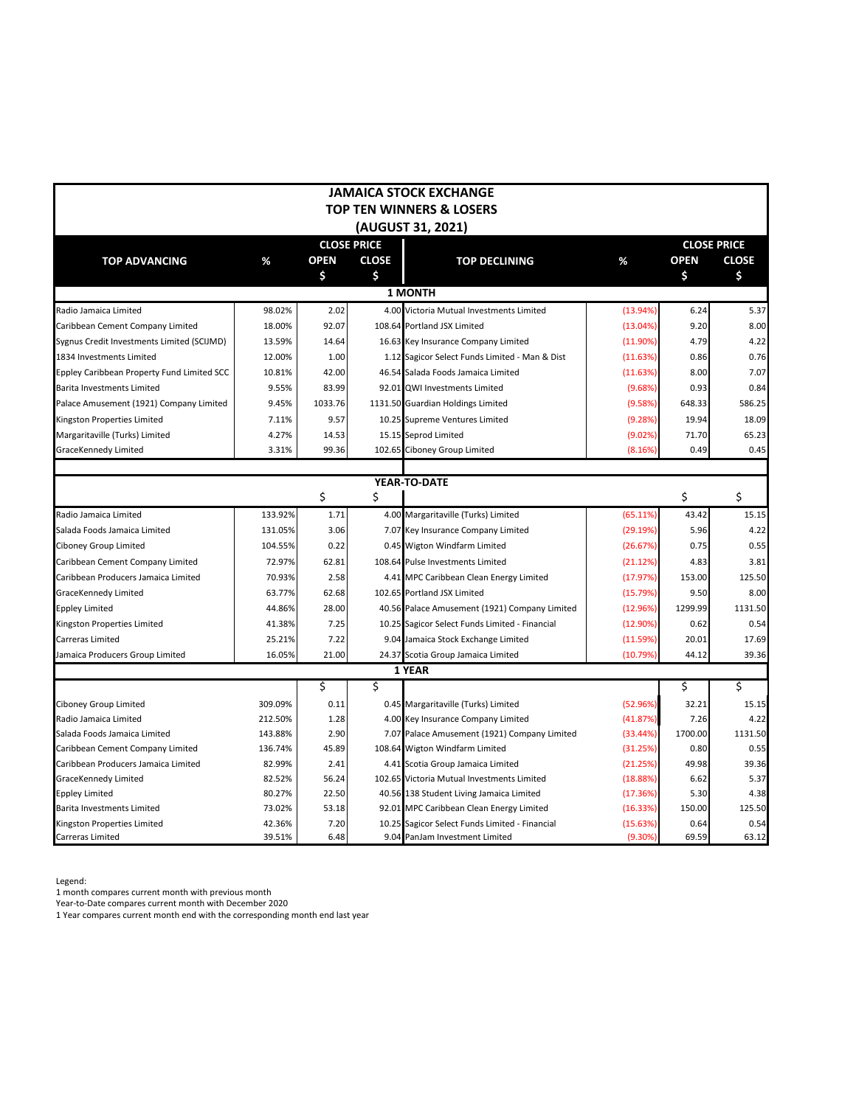|                                            |         |             |                    | <b>JAMAICA STOCK EXCHANGE</b>                  |             |             |                    |
|--------------------------------------------|---------|-------------|--------------------|------------------------------------------------|-------------|-------------|--------------------|
|                                            |         |             |                    | <b>TOP TEN WINNERS &amp; LOSERS</b>            |             |             |                    |
|                                            |         |             |                    | (AUGUST 31, 2021)                              |             |             |                    |
|                                            |         |             | <b>CLOSE PRICE</b> |                                                |             |             | <b>CLOSE PRICE</b> |
| <b>TOP ADVANCING</b>                       | %       | <b>OPEN</b> | <b>CLOSE</b>       | <b>TOP DECLINING</b>                           | %           | <b>OPEN</b> | <b>CLOSE</b>       |
|                                            |         | \$          | \$                 |                                                |             | \$          | \$                 |
|                                            |         |             |                    | <b>1 MONTH</b>                                 |             |             |                    |
| Radio Jamaica Limited                      | 98.02%  | 2.02        |                    | 4.00 Victoria Mutual Investments Limited       | (13.94%)    | 6.24        | 5.37               |
| Caribbean Cement Company Limited           | 18.00%  | 92.07       |                    | 108.64 Portland JSX Limited                    | (13.04%)    | 9.20        | 8.00               |
| Sygnus Credit Investments Limited (SCIJMD) | 13.59%  | 14.64       |                    | 16.63 Key Insurance Company Limited            | (11.90%)    | 4.79        | 4.22               |
| 1834 Investments Limited                   | 12.00%  | 1.00        |                    | 1.12 Sagicor Select Funds Limited - Man & Dist | (11.63%)    | 0.86        | 0.76               |
| Eppley Caribbean Property Fund Limited SCC | 10.81%  | 42.00       |                    | 46.54 Salada Foods Jamaica Limited             | (11.63%)    | 8.00        | 7.07               |
| <b>Barita Investments Limited</b>          | 9.55%   | 83.99       |                    | 92.01 QWI Investments Limited                  | (9.68%)     | 0.93        | 0.84               |
| Palace Amusement (1921) Company Limited    | 9.45%   | 1033.76     |                    | 1131.50 Guardian Holdings Limited              | (9.58%)     | 648.33      | 586.25             |
| Kingston Properties Limited                | 7.11%   | 9.57        |                    | 10.25 Supreme Ventures Limited                 | (9.28%)     | 19.94       | 18.09              |
| Margaritaville (Turks) Limited             | 4.27%   | 14.53       |                    | 15.15 Seprod Limited                           | (9.02%)     | 71.70       | 65.23              |
| GraceKennedy Limited                       | 3.31%   | 99.36       |                    | 102.65 Ciboney Group Limited                   | (8.16%)     | 0.49        | 0.45               |
|                                            |         |             |                    |                                                |             |             |                    |
|                                            |         |             |                    | YEAR-TO-DATE                                   |             |             |                    |
|                                            |         | \$          | \$                 |                                                |             | \$          | \$                 |
| Radio Jamaica Limited                      | 133.92% | 1.71        |                    | 4.00 Margaritaville (Turks) Limited            | (65.11%)    | 43.42       | 15.15              |
| Salada Foods Jamaica Limited               | 131.05% | 3.06        |                    | 7.07 Key Insurance Company Limited             | (29.19%)    | 5.96        | 4.22               |
| Ciboney Group Limited                      | 104.55% | 0.22        |                    | 0.45 Wigton Windfarm Limited                   | (26.67%)    | 0.75        | 0.55               |
| Caribbean Cement Company Limited           | 72.97%  | 62.81       |                    | 108.64 Pulse Investments Limited               | (21.12%)    | 4.83        | 3.81               |
| Caribbean Producers Jamaica Limited        | 70.93%  | 2.58        |                    | 4.41 MPC Caribbean Clean Energy Limited        | (17.97%)    | 153.00      | 125.50             |
| GraceKennedy Limited                       | 63.77%  | 62.68       |                    | 102.65 Portland JSX Limited                    | (15.79%)    | 9.50        | 8.00               |
| <b>Eppley Limited</b>                      | 44.86%  | 28.00       |                    | 40.56 Palace Amusement (1921) Company Limited  | (12.96%)    | 1299.99     | 1131.50            |
| Kingston Properties Limited                | 41.38%  | 7.25        |                    | 10.25 Sagicor Select Funds Limited - Financial | $(12.90\%)$ | 0.62        | 0.54               |
| Carreras Limited                           | 25.21%  | 7.22        |                    | 9.04 Jamaica Stock Exchange Limited            | (11.59%)    | 20.01       | 17.69              |
| Jamaica Producers Group Limited            | 16.05%  | 21.00       |                    | 24.37 Scotia Group Jamaica Limited             | (10.79%)    | 44.12       | 39.36              |
|                                            |         |             |                    | 1 YEAR                                         |             |             |                    |
|                                            |         | \$          | \$                 |                                                |             | \$          | \$                 |
| Ciboney Group Limited                      | 309.09% | 0.11        |                    | 0.45 Margaritaville (Turks) Limited            | (52.96%)    | 32.21       | 15.15              |
| Radio Jamaica Limited                      | 212.50% | 1.28        |                    | 4.00 Key Insurance Company Limited             | (41.87%)    | 7.26        | 4.22               |
| Salada Foods Jamaica Limited               | 143.88% | 2.90        |                    | 7.07 Palace Amusement (1921) Company Limited   | (33.44%)    | 1700.00     | 1131.50            |
| Caribbean Cement Company Limited           | 136.74% | 45.89       |                    | 108.64 Wigton Windfarm Limited                 | (31.25%)    | 0.80        | 0.55               |
| Caribbean Producers Jamaica Limited        | 82.99%  | 2.41        |                    | 4.41 Scotia Group Jamaica Limited              | (21.25%)    | 49.98       | 39.36              |
| GraceKennedy Limited                       | 82.52%  | 56.24       |                    | 102.65 Victoria Mutual Investments Limited     | (18.88%)    | 6.62        | 5.37               |
| <b>Eppley Limited</b>                      | 80.27%  | 22.50       |                    | 40.56 138 Student Living Jamaica Limited       | (17.36%)    | 5.30        | 4.38               |
| <b>Barita Investments Limited</b>          | 73.02%  | 53.18       |                    | 92.01 MPC Caribbean Clean Energy Limited       | (16.33%)    | 150.00      | 125.50             |
| Kingston Properties Limited                | 42.36%  | 7.20        |                    | 10.25 Sagicor Select Funds Limited - Financial | (15.63%)    | 0.64        | 0.54               |
| Carreras Limited                           | 39.51%  | 6.48        |                    | 9.04 PanJam Investment Limited                 | $(9.30\%)$  | 69.59       | 63.12              |

Legend:

1 month compares current month with previous month

Year-to-Date compares current month with December 2020

1 Year compares current month end with the corresponding month end last year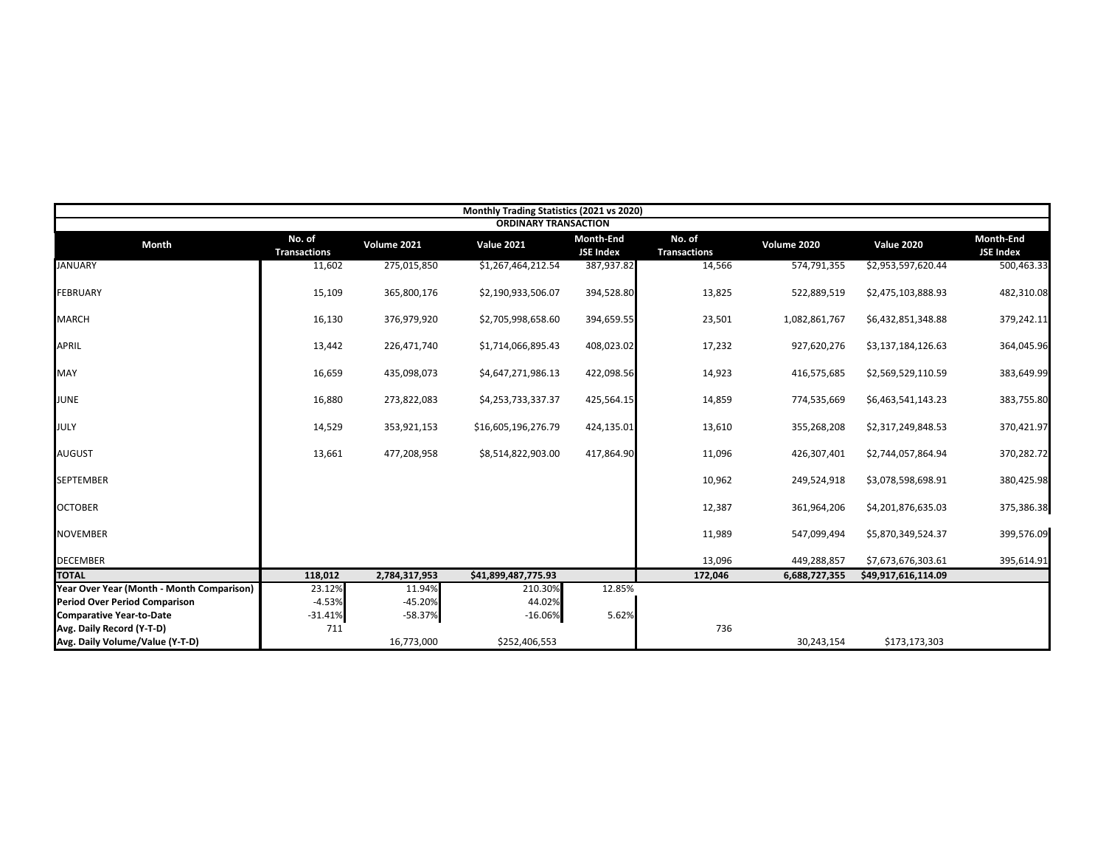|                                           |                               |               | Monthly Trading Statistics (2021 vs 2020) |                               |                               |               |                     |                               |
|-------------------------------------------|-------------------------------|---------------|-------------------------------------------|-------------------------------|-------------------------------|---------------|---------------------|-------------------------------|
|                                           |                               |               | <b>ORDINARY TRANSACTION</b>               |                               |                               |               |                     |                               |
| <b>Month</b>                              | No. of<br><b>Transactions</b> | Volume 2021   | <b>Value 2021</b>                         | Month-End<br><b>JSE Index</b> | No. of<br><b>Transactions</b> | Volume 2020   | <b>Value 2020</b>   | Month-End<br><b>JSE Index</b> |
| <b>JANUARY</b>                            | 11,602                        | 275,015,850   | \$1,267,464,212.54                        | 387,937.82                    | 14,566                        | 574,791,355   | \$2,953,597,620.44  | 500,463.33                    |
| <b>FEBRUARY</b>                           | 15,109                        | 365,800,176   | \$2,190,933,506.07                        | 394,528.80                    | 13,825                        | 522,889,519   | \$2,475,103,888.93  | 482,310.08                    |
| <b>MARCH</b>                              | 16,130                        | 376,979,920   | \$2,705,998,658.60                        | 394,659.55                    | 23,501                        | 1,082,861,767 | \$6,432,851,348.88  | 379,242.11                    |
| <b>APRIL</b>                              | 13,442                        | 226,471,740   | \$1,714,066,895.43                        | 408,023.02                    | 17,232                        | 927,620,276   | \$3,137,184,126.63  | 364,045.96                    |
| MAY                                       | 16,659                        | 435,098,073   | \$4,647,271,986.13                        | 422,098.56                    | 14,923                        | 416,575,685   | \$2,569,529,110.59  | 383,649.99                    |
| <b>JUNE</b>                               | 16,880                        | 273,822,083   | \$4,253,733,337.37                        | 425,564.15                    | 14,859                        | 774,535,669   | \$6,463,541,143.23  | 383,755.80                    |
| JULY                                      | 14,529                        | 353,921,153   | \$16,605,196,276.79                       | 424,135.01                    | 13,610                        | 355,268,208   | \$2,317,249,848.53  | 370,421.97                    |
| <b>AUGUST</b>                             | 13,661                        | 477,208,958   | \$8,514,822,903.00                        | 417,864.90                    | 11,096                        | 426,307,401   | \$2,744,057,864.94  | 370,282.72                    |
| <b>SEPTEMBER</b>                          |                               |               |                                           |                               | 10,962                        | 249,524,918   | \$3,078,598,698.91  | 380,425.98                    |
| <b>OCTOBER</b>                            |                               |               |                                           |                               | 12,387                        | 361,964,206   | \$4,201,876,635.03  | 375,386.38                    |
| <b>NOVEMBER</b>                           |                               |               |                                           |                               | 11,989                        | 547,099,494   | \$5,870,349,524.37  | 399,576.09                    |
| <b>DECEMBER</b>                           |                               |               |                                           |                               | 13,096                        | 449,288,857   | \$7,673,676,303.61  | 395,614.91                    |
| <b>TOTAL</b>                              | 118,012                       | 2,784,317,953 | \$41,899,487,775.93                       |                               | 172,046                       | 6,688,727,355 | \$49,917,616,114.09 |                               |
| Year Over Year (Month - Month Comparison) | 23.12%                        | 11.94%        | 210.30%                                   | 12.85%                        |                               |               |                     |                               |
| <b>Period Over Period Comparison</b>      | $-4.53%$                      | $-45.20%$     | 44.02%                                    |                               |                               |               |                     |                               |
| <b>Comparative Year-to-Date</b>           | $-31.41%$                     | $-58.37%$     | $-16.06%$                                 | 5.62%                         |                               |               |                     |                               |
| Avg. Daily Record (Y-T-D)                 | 711                           |               |                                           |                               | 736                           |               |                     |                               |
| Avg. Daily Volume/Value (Y-T-D)           |                               | 16,773,000    | \$252,406,553                             |                               |                               | 30,243,154    | \$173,173,303       |                               |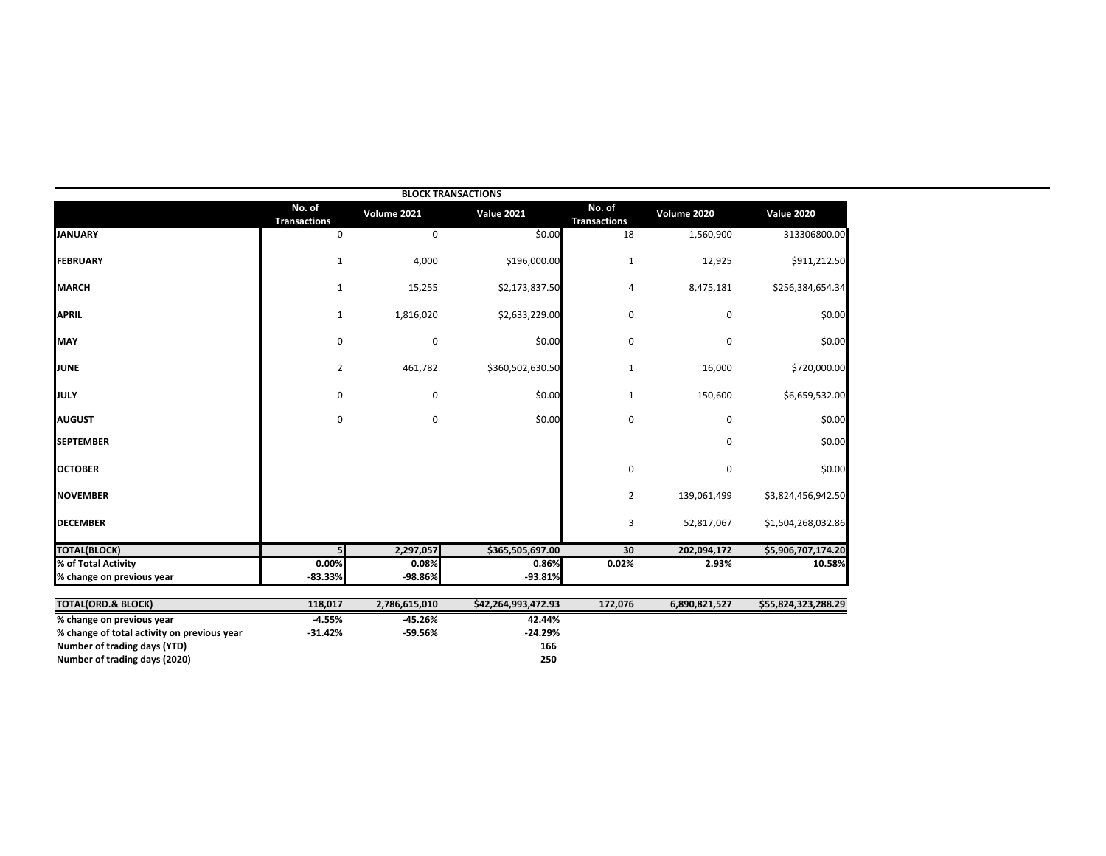|                                             |                               |               | <b>BLOCK TRANSACTIONS</b> |                               |               |                     |
|---------------------------------------------|-------------------------------|---------------|---------------------------|-------------------------------|---------------|---------------------|
|                                             | No. of<br><b>Transactions</b> | Volume 2021   | <b>Value 2021</b>         | No. of<br><b>Transactions</b> | Volume 2020   | <b>Value 2020</b>   |
| <b>JANUARY</b>                              | 0                             | 0             | \$0.00                    | 18                            | 1,560,900     | 313306800.00        |
| <b>FEBRUARY</b>                             | $\mathbf{1}$                  | 4,000         | \$196,000.00              | $\mathbf{1}$                  | 12,925        | \$911,212.50        |
| <b>MARCH</b>                                | $\mathbf{1}$                  | 15,255        | \$2,173,837.50            | 4                             | 8,475,181     | \$256,384,654.34    |
| <b>APRIL</b>                                | $\mathbf{1}$                  | 1,816,020     | \$2,633,229.00            | 0                             | 0             | \$0.00              |
| <b>MAY</b>                                  | 0                             | $\pmb{0}$     | \$0.00                    | 0                             | 0             | \$0.00              |
| JUNE                                        | $\overline{2}$                | 461,782       | \$360,502,630.50          | $\mathbf{1}$                  | 16,000        | \$720,000.00        |
| JULY                                        | 0                             | 0             | \$0.00                    | 1                             | 150,600       | \$6,659,532.00      |
| <b>AUGUST</b>                               | 0                             | 0             | \$0.00                    | 0                             | 0             | \$0.00              |
| <b>SEPTEMBER</b>                            |                               |               |                           |                               | 0             | \$0.00              |
| <b>OCTOBER</b>                              |                               |               |                           | 0                             | 0             | \$0.00              |
| <b>NOVEMBER</b>                             |                               |               |                           | 2                             | 139,061,499   | \$3,824,456,942.50  |
| <b>DECEMBER</b>                             |                               |               |                           | 3                             | 52,817,067    | \$1,504,268,032.86  |
| <b>TOTAL(BLOCK)</b>                         |                               | 2,297,057     | \$365,505,697.00          | 30                            | 202,094,172   | \$5,906,707,174.20  |
| % of Total Activity                         | 0.00%                         | 0.08%         | 0.86%                     | 0.02%                         | 2.93%         | 10.58%              |
| % change on previous year                   | $-83.33%$                     | -98.86%       | $-93.81%$                 |                               |               |                     |
| <b>TOTAL(ORD.&amp; BLOCK)</b>               | 118,017                       | 2,786,615,010 | \$42,264,993,472.93       | 172,076                       | 6,890,821,527 | \$55,824,323,288.29 |
| % change on previous year                   | $-4.55%$                      | $-45.26%$     | 42.44%                    |                               |               |                     |
| % change of total activity on previous year | $-31.42%$                     | -59.56%       | $-24.29%$                 |                               |               |                     |
| Number of trading days (YTD)                |                               |               | 166                       |                               |               |                     |
| Number of trading days (2020)               |                               |               | 250                       |                               |               |                     |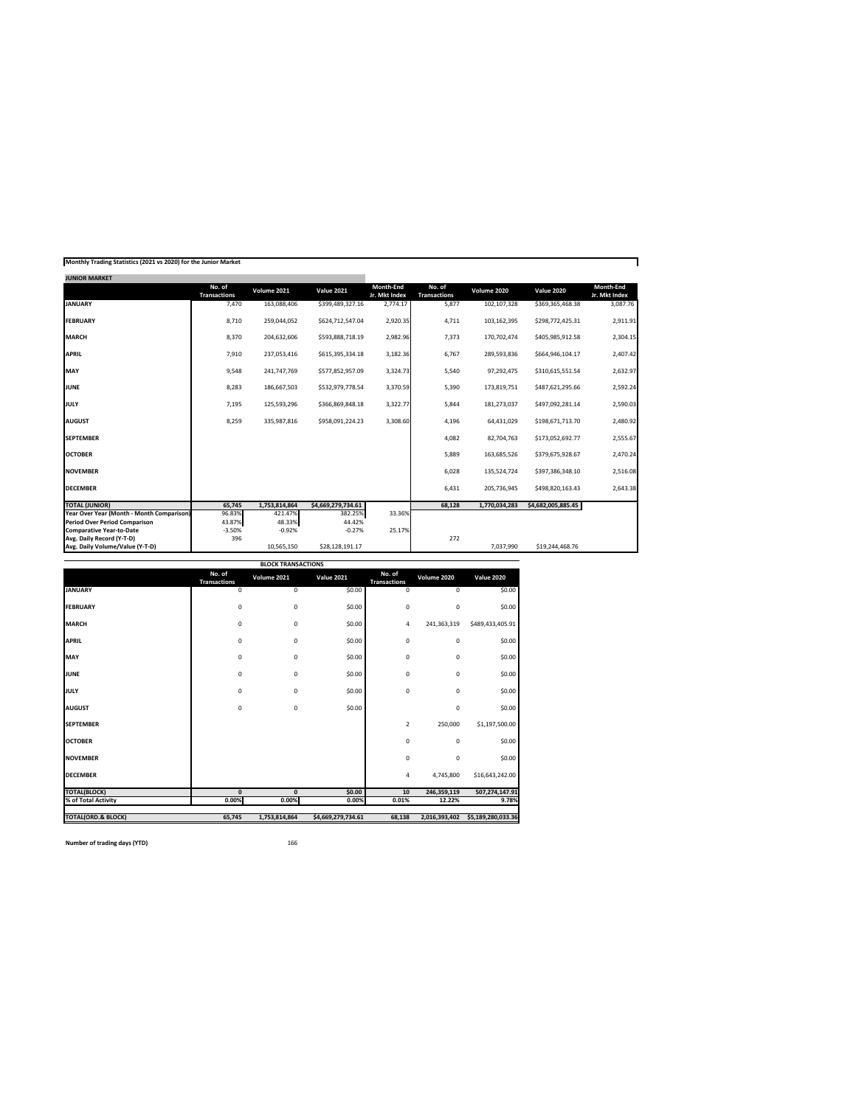| Monthly Trading Statistics (2021 vs 2020) for the Junior Market |  |  |  |
|-----------------------------------------------------------------|--|--|--|
|-----------------------------------------------------------------|--|--|--|

| <b>JUNIOR MARKET</b>                      |                               |               |                    |                            |                               |               |                    |                                   |
|-------------------------------------------|-------------------------------|---------------|--------------------|----------------------------|-------------------------------|---------------|--------------------|-----------------------------------|
|                                           | No. of<br><b>Transactions</b> | Volume 2021   | <b>Value 2021</b>  | Month-End<br>Jr. Mkt Index | No. of<br><b>Transactions</b> | Volume 2020   | <b>Value 2020</b>  | <b>Month-End</b><br>Jr. Mkt Index |
| <b>JANUARY</b>                            | 7,470                         | 163,088,406   | \$399,489,327.16   | 2,774.17                   | 5,877                         | 102,107,328   | \$369,365,468.38   | 3,087.76                          |
| <b>FEBRUARY</b>                           | 8,710                         | 259,044,052   | \$624,712,547.04   | 2,920.35                   | 4,711                         | 103,162,395   | \$298,772,425.31   | 2,911.91                          |
| <b>MARCH</b>                              | 8,370                         | 204,632,606   | \$593,888,718.19   | 2,982.96                   | 7,373                         | 170,702,474   | \$405,985,912.58   | 2,304.15                          |
| <b>APRIL</b>                              | 7,910                         | 237,053,416   | \$615,395,334.18   | 3,182.36                   | 6,767                         | 289,593,836   | \$664,946,104.17   | 2,407.42                          |
| <b>MAY</b>                                | 9,548                         | 241,747,769   | \$577,852,957.09   | 3,324.73                   | 5,540                         | 97,292,475    | \$310,615,551.54   | 2,632.97                          |
| <b>JUNE</b>                               | 8,283                         | 186,667,503   | \$532,979,778.54   | 3,370.59                   | 5,390                         | 173,819,751   | \$487,621,295.66   | 2,592.24                          |
| <b>JULY</b>                               | 7,195                         | 125,593,296   | \$366,869,848.18   | 3,322.77                   | 5,844                         | 181,273,037   | \$497,092,281.14   | 2,590.03                          |
| <b>AUGUST</b>                             | 8,259                         | 335,987,816   | \$958,091,224.23   | 3,308.60                   | 4,196                         | 64,431,029    | \$198,671,713.70   | 2,480.92                          |
| <b>SEPTEMBER</b>                          |                               |               |                    |                            | 4,082                         | 82,704,763    | \$173,052,692.77   | 2,555.67                          |
| <b>OCTOBER</b>                            |                               |               |                    |                            | 5,889                         | 163,685,526   | \$379,675,928.67   | 2,470.24                          |
| <b>NOVEMBER</b>                           |                               |               |                    |                            | 6,028                         | 135,524,724   | \$397,386,348.10   | 2,516.08                          |
| <b>DECEMBER</b>                           |                               |               |                    |                            | 6,431                         | 205,736,945   | \$498,820,163.43   | 2,643.38                          |
| <b>TOTAL (JUNIOR)</b>                     | 65,745                        | 1,753,814,864 | \$4,669,279,734.61 |                            | 68,128                        | 1,770,034,283 | \$4,682,005,885.45 |                                   |
| Year Over Year (Month - Month Comparison) | 96.83%                        | 421.47%       | 382.25%            | 33.36%                     |                               |               |                    |                                   |
| <b>Period Over Period Comparison</b>      | 43.87%                        | 48.33%        | 44.42%             |                            |                               |               |                    |                                   |
| <b>Comparative Year-to-Date</b>           | $-3.50%$                      | $-0.92%$      | $-0.27%$           | 25.17%                     |                               |               |                    |                                   |
| Avg. Daily Record (Y-T-D)                 | 396                           |               |                    |                            | 272                           |               |                    |                                   |
| Avg. Daily Volume/Value (Y-T-D)           |                               | 10,565,150    | \$28,128,191.17    |                            |                               | 7,037,990     | \$19,244,468.76    |                                   |

| <b>BLOCK TRANSACTIONS</b>     |                               |               |                    |                               |               |                    |  |  |  |  |  |  |
|-------------------------------|-------------------------------|---------------|--------------------|-------------------------------|---------------|--------------------|--|--|--|--|--|--|
|                               | No. of<br><b>Transactions</b> | Volume 2021   | <b>Value 2021</b>  | No. of<br><b>Transactions</b> | Volume 2020   | <b>Value 2020</b>  |  |  |  |  |  |  |
| <b>JANUARY</b>                | 0                             | 0             | \$0.00             | 0                             | 0             | \$0.00             |  |  |  |  |  |  |
| <b>FEBRUARY</b>               | 0                             | 0             | \$0.00             | 0                             | 0             | \$0.00             |  |  |  |  |  |  |
| <b>MARCH</b>                  | 0                             | 0             | \$0.00             | 4                             | 241,363,319   | \$489,433,405.91   |  |  |  |  |  |  |
| <b>APRIL</b>                  | 0                             | 0             | \$0.00             | 0                             | 0             | \$0.00             |  |  |  |  |  |  |
| MAY                           | 0                             | 0             | \$0.00             | 0                             | 0             | \$0.00             |  |  |  |  |  |  |
| <b>JUNE</b>                   | 0                             | 0             | \$0.00             | 0                             | 0             | \$0.00             |  |  |  |  |  |  |
| <b>JULY</b>                   | 0                             | 0             | \$0.00             | 0                             | 0             | \$0.00             |  |  |  |  |  |  |
| <b>AUGUST</b>                 | 0                             | 0             | \$0.00             |                               | $\mathbf 0$   | \$0.00             |  |  |  |  |  |  |
| <b>SEPTEMBER</b>              |                               |               |                    | $\overline{2}$                | 250,000       | \$1,197,500.00     |  |  |  |  |  |  |
| <b>OCTOBER</b>                |                               |               |                    | 0                             | 0             | \$0.00             |  |  |  |  |  |  |
| <b>NOVEMBER</b>               |                               |               |                    | 0                             | $\pmb{0}$     | \$0.00             |  |  |  |  |  |  |
| <b>DECEMBER</b>               |                               |               |                    | 4                             | 4,745,800     | \$16,643,242.00    |  |  |  |  |  |  |
| <b>TOTAL(BLOCK)</b>           | $\mathbf{0}$                  | $\mathbf{0}$  | \$0.00             | 10                            | 246,359,119   | 507,274,147.91     |  |  |  |  |  |  |
| % of Total Activity           | 0.00%                         | 0.00%         | 0.00%              | 0.01%                         | 12.22%        | 9.78%              |  |  |  |  |  |  |
| <b>TOTAL(ORD.&amp; BLOCK)</b> | 65,745                        | 1,753,814,864 | \$4,669,279,734.61 | 68,138                        | 2,016,393,402 | \$5,189,280,033.36 |  |  |  |  |  |  |

**Number of trading days (YTD)** 166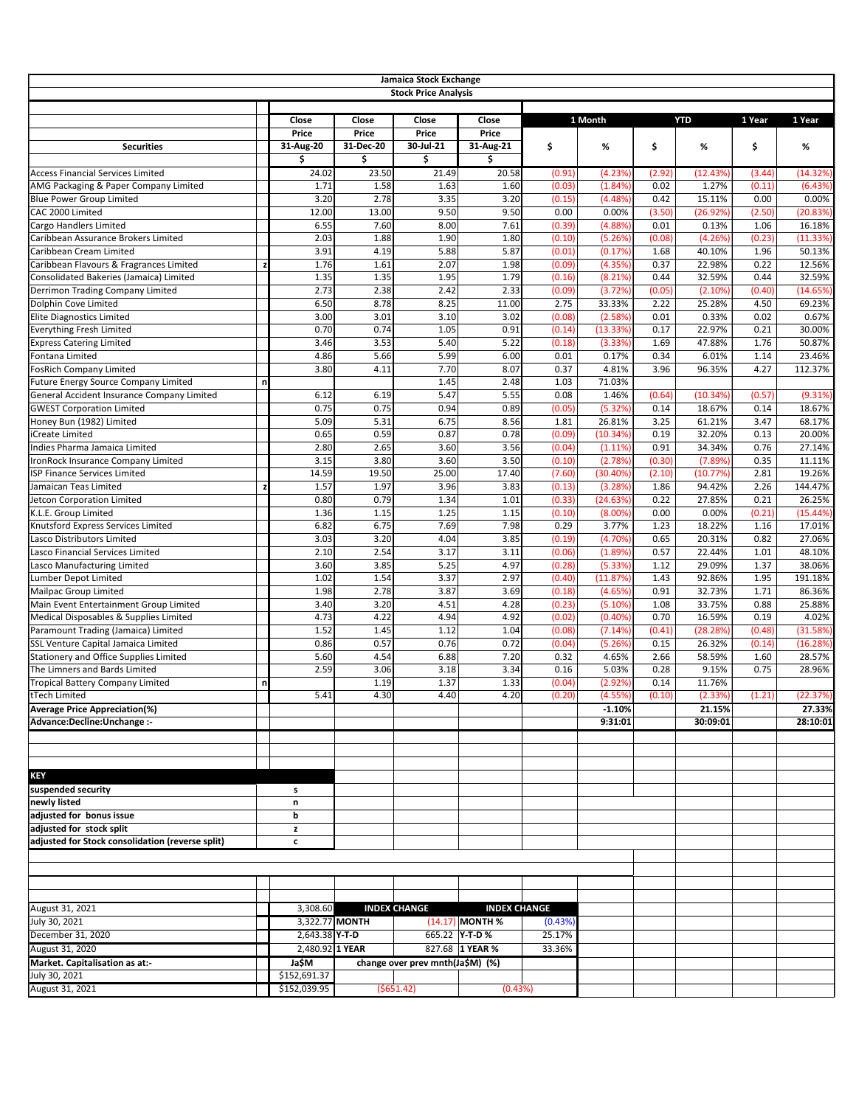|                                                                               |   |                                    |                                    | Jamaica Stock Exchange<br><b>Stock Price Analysis</b> |                                            |                   |                       |                  |                    |                  |                     |
|-------------------------------------------------------------------------------|---|------------------------------------|------------------------------------|-------------------------------------------------------|--------------------------------------------|-------------------|-----------------------|------------------|--------------------|------------------|---------------------|
|                                                                               |   |                                    |                                    |                                                       |                                            |                   |                       |                  |                    |                  |                     |
| <b>Securities</b>                                                             |   | Close<br><b>Price</b><br>31-Aug-20 | Close<br><b>Price</b><br>31-Dec-20 | Close<br><b>Price</b><br>30-Jul-21                    | Close<br><b>Price</b><br>31-Aug-21         | \$                | 1 Month<br>%          | \$               | <b>YTD</b><br>%    | 1 Year<br>\$     | 1 Year<br>%         |
| <b>Access Financial Services Limited</b>                                      |   | \$                                 | \$                                 | \$                                                    | \$                                         |                   |                       |                  |                    |                  |                     |
| AMG Packaging & Paper Company Limited                                         |   | 24.02<br>1.71                      | 23.50<br>1.58                      | 21.49<br>1.63                                         | 20.58<br>1.60                              | (0.91)<br>(0.03)  | (4.23%)<br>(1.84%)    | (2.92)<br>0.02   | (12.43%<br>1.27%   | (3.44)<br>(0.11) | (14.32%)<br>(6.43%) |
| <b>Blue Power Group Limited</b>                                               |   | 3.20                               | 2.78                               | 3.35                                                  | 3.20                                       | (0.15)            | (4.48%)               | 0.42             | 15.11%             | 0.00             | 0.00%               |
| CAC 2000 Limited                                                              |   | 12.00                              | 13.00                              | 9.50                                                  | 9.50                                       | 0.00              | 0.00%                 | (3.50)           | (26.92%            | (2.50)           | (20.83%)            |
| Cargo Handlers Limited                                                        |   | 6.55                               | 7.60                               | 8.00                                                  | 7.61                                       | (0.39)            | (4.88%)               | 0.01             | 0.13%              | 1.06             | 16.18%              |
| Caribbean Assurance Brokers Limited                                           |   | 2.03                               | 1.88                               | 1.90                                                  | 1.80                                       | (0.10)            | (5.26%)               | (0.08)           | (4.26%             | (0.23)           | (11.33%)            |
| Caribbean Cream Limited                                                       |   | 3.91                               | 4.19                               | 5.88                                                  | 5.87                                       | (0.01)            | (0.17%)               | 1.68             | 40.10%             | 1.96             | 50.13%              |
| Caribbean Flavours & Fragrances Limited                                       |   | 1.76                               | 1.61                               | 2.07                                                  | 1.98                                       | (0.09)            | (4.35%)               | 0.37             | 22.98%             | 0.22             | 12.56%              |
| Consolidated Bakeries (Jamaica) Limited                                       |   | 1.35                               | 1.35                               | 1.95                                                  | 1.79                                       | (0.16)            | (8.21%)               | 0.44             | 32.59%             | 0.44             | 32.59%              |
| Derrimon Trading Company Limited<br>Dolphin Cove Limited                      |   | 2.73<br>6.50                       | 2.38<br>8.78                       | 2.42<br>8.25                                          | 2.33<br>11.00                              | (0.09)<br>2.75    | (3.72%)<br>33.33%     | (0.05)<br>2.22   | (2.10%<br>25.28%   | (0.40)<br>4.50   | (14.65%)<br>69.23%  |
| <b>Elite Diagnostics Limited</b>                                              |   | 3.00                               | 3.01                               | 3.10                                                  | 3.02                                       | (0.08)            | (2.58%)               | 0.01             | 0.33%              | 0.02             | 0.67%               |
| <b>Everything Fresh Limited</b>                                               |   | 0.70                               | 0.74                               | 1.05                                                  | 0.91                                       | (0.14)            | (13.33%)              | 0.17             | 22.97%             | 0.21             | 30.00%              |
| <b>Express Catering Limited</b>                                               |   | 3.46                               | 3.53                               | 5.40                                                  | 5.22                                       | (0.18)            | (3.33%)               | 1.69             | 47.88%             | 1.76             | 50.87%              |
| Fontana Limited                                                               |   | 4.86                               | 5.66                               | 5.99                                                  | 6.00                                       | 0.01              | 0.17%                 | 0.34             | 6.01%              | 1.14             | 23.46%              |
| FosRich Company Limited                                                       |   | 3.80                               | 4.11                               | 7.70                                                  | 8.07                                       | 0.37              | 4.81%                 | 3.96             | 96.35%             | 4.27             | 112.37%             |
| <b>Future Energy Source Company Limited</b>                                   | n |                                    |                                    | 1.45                                                  | 2.48                                       | 1.03              | 71.03%                |                  |                    |                  |                     |
| General Accident Insurance Company Limited                                    |   | 6.12                               | 6.19                               | 5.47                                                  | 5.55                                       | 0.08              | 1.46%                 | (0.64)           | (10.34%            | (0.57)           | (9.31%)             |
| <b>GWEST Corporation Limited</b>                                              |   | 0.75                               | 0.75                               | 0.94                                                  | 0.89                                       | (0.05)            | (5.32%)               | 0.14             | 18.67%             | 0.14             | 18.67%              |
| Honey Bun (1982) Limited                                                      |   | 5.09                               | 5.31                               | 6.75                                                  | 8.56                                       | 1.81              | 26.81%                | 3.25             | 61.21%             | 3.47             | 68.17%              |
| Create Limited                                                                |   | 0.65                               | 0.59                               | 0.87                                                  | 0.78                                       | (0.09)            | (10.34%)              | 0.19             | 32.20%             | 0.13             | 20.00%              |
| Indies Pharma Jamaica Limited                                                 |   | 2.80                               | 2.65                               | 3.60                                                  | 3.56                                       | (0.04)            | (1.11%)               | 0.91             | 34.34%             | 0.76             | 27.14%              |
| ronRock Insurance Company Limited<br><b>SP Finance Services Limited</b>       |   | 3.15<br>14.59                      | 3.80<br>19.50                      | 3.60<br>25.00                                         | 3.50<br>17.40                              | (0.10)<br>(7.60)  | (2.78%)<br>(30.40%)   | (0.30)<br>(2.10) | (7.89%<br>(10.77%) | 0.35<br>2.81     | 11.11%<br>19.26%    |
| Jamaican Teas Limited                                                         | z | 1.57                               | 1.97                               | 3.96                                                  | 3.83                                       | (0.13)            | (3.28%)               | 1.86             | 94.42%             | 2.26             | 144.47%             |
| Jetcon Corporation Limited                                                    |   | 0.80                               | 0.79                               | 1.34                                                  | 1.01                                       | (0.33)            | (24.63%)              | 0.22             | 27.85%             | 0.21             | 26.25%              |
| K.L.E. Group Limited                                                          |   | 1.36                               | 1.15                               | 1.25                                                  | 1.15                                       | (0.10)            | $(8.00\%)$            | 0.00             | 0.00%              | (0.21)           | (15.44%)            |
| Knutsford Express Services Limited                                            |   | 6.82                               | 6.75                               | 7.69                                                  | 7.98                                       | 0.29              | 3.77%                 | 1.23             | 18.22%             | 1.16             | 17.01%              |
| Lasco Distributors Limited                                                    |   | 3.03                               | 3.20                               | 4.04                                                  | 3.85                                       | (0.19)            | (4.70%)               | 0.65             | 20.31%             | 0.82             | 27.06%              |
| Lasco Financial Services Limited                                              |   | 2.10                               | 2.54                               | 3.17                                                  | 3.11                                       | (0.06)            | (1.89%)               | 0.57             | 22.44%             | 1.01             | 48.10%              |
| Lasco Manufacturing Limited                                                   |   | 3.60                               | 3.85                               | 5.25                                                  | 4.97                                       | (0.28)            | (5.33%)               | 1.12             | 29.09%             | 1.37             | 38.06%              |
| Lumber Depot Limited                                                          |   | 1.02                               | 1.54                               | 3.37                                                  | 2.97                                       | (0.40)            | (11.87%)              | 1.43             | 92.86%             | 1.95             | 191.18%             |
| Mailpac Group Limited                                                         |   | 1.98                               | 2.78                               | 3.87                                                  | 3.69                                       | (0.18)            | (4.65%)               | 0.91             | 32.73%             | 1.71             | 86.36%              |
| Main Event Entertainment Group Limited                                        |   | 3.40                               | 3.20                               | 4.51                                                  | 4.28                                       | (0.23)            | (5.10%)               | 1.08             | 33.75%             | 0.88             | 25.88%              |
| Medical Disposables & Supplies Limited<br>Paramount Trading (Jamaica) Limited |   | 4.73<br>1.52                       | 4.22<br>1.45                       | 4.94<br>1.12                                          | 4.92<br>1.04                               | (0.02)<br>(0.08)  | $(0.40\%)$<br>(7.14%) | 0.70<br>(0.41)   | 16.59%<br>(28.28%  | 0.19<br>(0.48)   | 4.02%<br>(31.58%)   |
| SSL Venture Capital Jamaica Limited                                           |   | 0.86                               | 0.57                               | 0.76                                                  | 0.72                                       | (0.04)            | (5.26%)               | 0.15             | 26.32%             | (0.14)           | (16.28%)            |
| Stationery and Office Supplies Limited                                        |   | 5.60                               | 4.54                               | 6.88                                                  | 7.20                                       | 0.32              | 4.65%                 | 2.66             | 58.59%             | 1.60             | 28.57%              |
| The Limners and Bards Limited                                                 |   | 2.59                               | 3.06                               | 3.18                                                  | 3.34                                       | 0.16              | 5.03%                 | 0.28             | 9.15%              | 0.75             | 28.96%              |
| Tropical Battery Company Limited                                              | n |                                    | 1.19                               | 1.37                                                  | 1.33                                       | (0.04)            | (2.92%)               | 0.14             | 11.76%             |                  |                     |
| tTech Limited                                                                 |   | 5.41                               | 4.30                               | 4.40                                                  | 4.20                                       | (0.20)            | (4.55%)               | (0.10)           | (2.33%             | (1.21)           | (22.37%)            |
| <b>Average Price Appreciation(%)</b>                                          |   |                                    |                                    |                                                       |                                            |                   | $-1.10%$              |                  | 21.15%             |                  | 27.33%              |
| Advance:Decline:Unchange :-                                                   |   |                                    |                                    |                                                       |                                            |                   | 9:31:01               |                  | 30:09:01           |                  | 28:10:01            |
|                                                                               |   |                                    |                                    |                                                       |                                            |                   |                       |                  |                    |                  |                     |
| <b>KEY</b>                                                                    |   |                                    |                                    |                                                       |                                            |                   |                       |                  |                    |                  |                     |
| suspended security                                                            |   | s                                  |                                    |                                                       |                                            |                   |                       |                  |                    |                  |                     |
| newly listed                                                                  |   | n                                  |                                    |                                                       |                                            |                   |                       |                  |                    |                  |                     |
| adjusted for bonus issue                                                      |   | b                                  |                                    |                                                       |                                            |                   |                       |                  |                    |                  |                     |
| adjusted for stock split                                                      |   | z                                  |                                    |                                                       |                                            |                   |                       |                  |                    |                  |                     |
| adjusted for Stock consolidation (reverse split)                              |   | C                                  |                                    |                                                       |                                            |                   |                       |                  |                    |                  |                     |
|                                                                               |   |                                    |                                    |                                                       |                                            |                   |                       |                  |                    |                  |                     |
|                                                                               |   |                                    |                                    |                                                       |                                            |                   |                       |                  |                    |                  |                     |
|                                                                               |   |                                    |                                    |                                                       |                                            |                   |                       |                  |                    |                  |                     |
|                                                                               |   |                                    |                                    |                                                       |                                            |                   |                       |                  |                    |                  |                     |
| August 31, 2021                                                               |   | 3,308.60                           |                                    | <b>INDEX CHANGE</b>                                   | <b>INDEX CHANGE</b>                        |                   |                       |                  |                    |                  |                     |
| July 30, 2021<br>December 31, 2020                                            |   | 3,322.77 MONTH<br>2,643.38 Y-T-D   |                                    |                                                       | $(14.17)$ MONTH %<br>665.22 <b>Y-T-D %</b> | (0.43%)<br>25.17% |                       |                  |                    |                  |                     |
| August 31, 2020                                                               |   | 2,480.92 1 YEAR                    |                                    |                                                       | 827.68 1 YEAR %                            | 33.36%            |                       |                  |                    |                  |                     |
| Market. Capitalisation as at:-                                                |   | Ja\$M                              |                                    | change over prev mnth(Ja\$M) (%)                      |                                            |                   |                       |                  |                    |                  |                     |
| July 30, 2021                                                                 |   | \$152,691.37                       |                                    |                                                       |                                            |                   |                       |                  |                    |                  |                     |
| August 31, 2021                                                               |   | \$152,039.95                       |                                    | (5651.42)                                             | (0.43%)                                    |                   |                       |                  |                    |                  |                     |
|                                                                               |   |                                    |                                    |                                                       |                                            |                   |                       |                  |                    |                  |                     |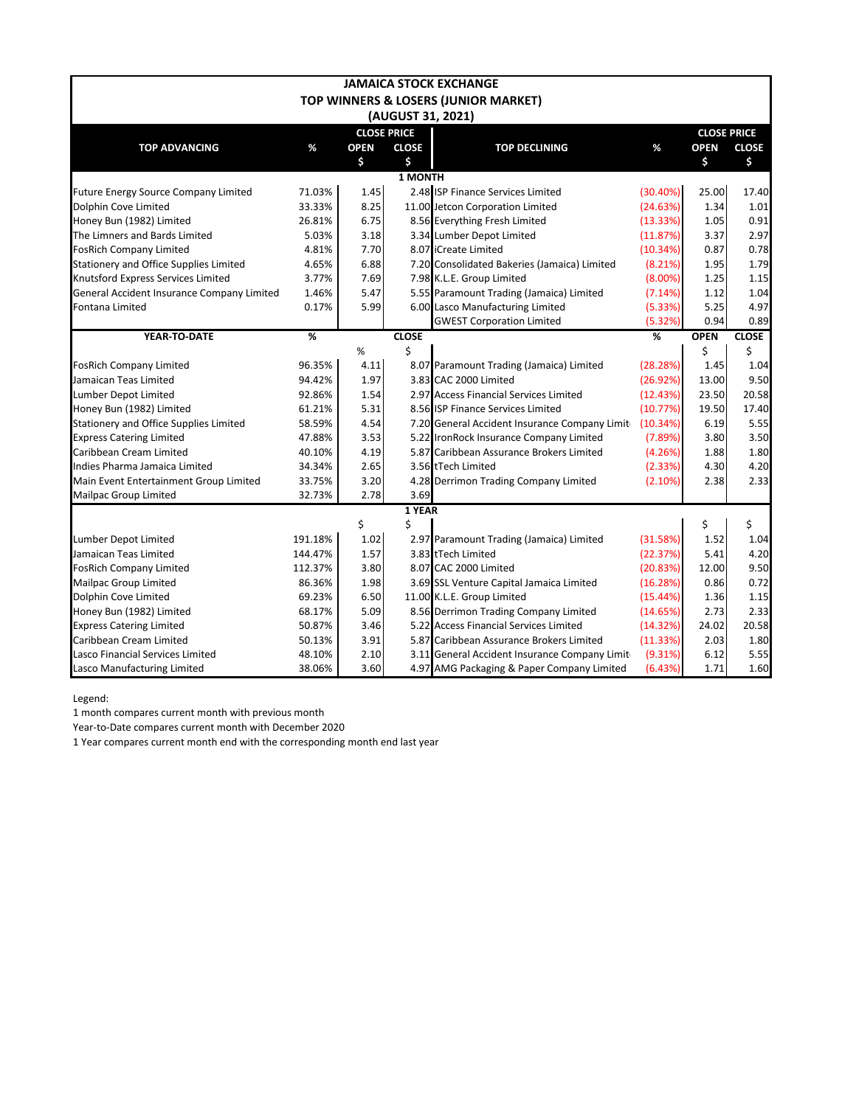|                                               |                          |                    |                   | <b>JAMAICA STOCK EXCHANGE</b>                 |            |                    |              |
|-----------------------------------------------|--------------------------|--------------------|-------------------|-----------------------------------------------|------------|--------------------|--------------|
|                                               |                          |                    |                   | TOP WINNERS & LOSERS (JUNIOR MARKET)          |            |                    |              |
|                                               |                          |                    | (AUGUST 31, 2021) |                                               |            |                    |              |
|                                               |                          | <b>CLOSE PRICE</b> |                   |                                               |            | <b>CLOSE PRICE</b> |              |
| <b>TOP ADVANCING</b>                          | %                        | <b>OPEN</b>        | <b>CLOSE</b>      | <b>TOP DECLINING</b>                          | $\%$       | <b>OPEN</b>        | <b>CLOSE</b> |
|                                               |                          | \$                 | \$                |                                               |            | \$                 | \$           |
|                                               |                          |                    | 1 MONTH           |                                               |            |                    |              |
| Future Energy Source Company Limited          | 71.03%                   | 1.45               |                   | 2.48 ISP Finance Services Limited             | (30.40%)   | 25.00              | 17.40        |
| Dolphin Cove Limited                          | 33.33%                   | 8.25               |                   | 11.00 Jetcon Corporation Limited              | (24.63%)   | 1.34               | 1.01         |
| Honey Bun (1982) Limited                      | 26.81%                   | 6.75               |                   | 8.56 Everything Fresh Limited                 | (13.33%)   | 1.05               | 0.91         |
| The Limners and Bards Limited                 | 5.03%                    | 3.18               |                   | 3.34 Lumber Depot Limited                     | (11.87%)   | 3.37               | 2.97         |
| <b>FosRich Company Limited</b>                | 4.81%                    | 7.70               |                   | 8.07 iCreate Limited                          | (10.34%)   | 0.87               | 0.78         |
| <b>Stationery and Office Supplies Limited</b> | 4.65%                    | 6.88               |                   | 7.20 Consolidated Bakeries (Jamaica) Limited  | (8.21%)    | 1.95               | 1.79         |
| Knutsford Express Services Limited            | 3.77%                    | 7.69               |                   | 7.98 K.L.E. Group Limited                     | $(8.00\%)$ | 1.25               | 1.15         |
| General Accident Insurance Company Limited    | 1.46%                    | 5.47               |                   | 5.55 Paramount Trading (Jamaica) Limited      | (7.14%)    | 1.12               | 1.04         |
| Fontana Limited                               | 0.17%                    | 5.99               |                   | 6.00 Lasco Manufacturing Limited              | (5.33%)    | 5.25               | 4.97         |
|                                               |                          |                    |                   | <b>GWEST Corporation Limited</b>              | (5.32%)    | 0.94               | 0.89         |
| YEAR-TO-DATE                                  | $\overline{\mathscr{C}}$ |                    | <b>CLOSE</b>      |                                               | %          | <b>OPEN</b>        | <b>CLOSE</b> |
|                                               |                          | %                  | \$                |                                               |            | \$                 | \$           |
| <b>FosRich Company Limited</b>                | 96.35%                   | 4.11               |                   | 8.07 Paramount Trading (Jamaica) Limited      | (28.28%)   | 1.45               | 1.04         |
| Jamaican Teas Limited                         | 94.42%                   | 1.97               |                   | 3.83 CAC 2000 Limited                         | (26.92%)   | 13.00              | 9.50         |
| Lumber Depot Limited                          | 92.86%                   | 1.54               |                   | 2.97 Access Financial Services Limited        | (12.43%)   | 23.50              | 20.58        |
| Honey Bun (1982) Limited                      | 61.21%                   | 5.31               |                   | 8.56 ISP Finance Services Limited             | (10.77%)   | 19.50              | 17.40        |
| <b>Stationery and Office Supplies Limited</b> | 58.59%                   | 4.54               |                   | 7.20 General Accident Insurance Company Limit | (10.34%)   | 6.19               | 5.55         |
| <b>Express Catering Limited</b>               | 47.88%                   | 3.53               |                   | 5.22 IronRock Insurance Company Limited       | (7.89%)    | 3.80               | 3.50         |
| Caribbean Cream Limited                       | 40.10%                   | 4.19               |                   | 5.87 Caribbean Assurance Brokers Limited      | (4.26%)    | 1.88               | 1.80         |
| Indies Pharma Jamaica Limited                 | 34.34%                   | 2.65               |                   | 3.56 tTech Limited                            | (2.33%)    | 4.30               | 4.20         |
| Main Event Entertainment Group Limited        | 33.75%                   | 3.20               |                   | 4.28 Derrimon Trading Company Limited         | (2.10%)    | 2.38               | 2.33         |
| <b>Mailpac Group Limited</b>                  | 32.73%                   | 2.78               | 3.69              |                                               |            |                    |              |
|                                               |                          |                    | 1 YEAR            |                                               |            |                    |              |
|                                               |                          | \$                 | \$                |                                               |            | \$                 | \$           |
| Lumber Depot Limited                          | 191.18%                  | 1.02               |                   | 2.97 Paramount Trading (Jamaica) Limited      | (31.58%)   | 1.52               | 1.04         |
| Jamaican Teas Limited                         | 144.47%                  | 1.57               |                   | 3.83 tTech Limited                            | (22.37%)   | 5.41               | 4.20         |
| <b>FosRich Company Limited</b>                | 112.37%                  | 3.80               |                   | 8.07 CAC 2000 Limited                         | (20.83%)   | 12.00              | 9.50         |
| <b>Mailpac Group Limited</b>                  | 86.36%                   | 1.98               |                   | 3.69 SSL Venture Capital Jamaica Limited      | (16.28%)   | 0.86               | 0.72         |
| Dolphin Cove Limited                          | 69.23%                   | 6.50               |                   | 11.00 K.L.E. Group Limited                    | (15.44%)   | 1.36               | 1.15         |
| Honey Bun (1982) Limited                      | 68.17%                   | 5.09               |                   | 8.56 Derrimon Trading Company Limited         | (14.65%)   | 2.73               | 2.33         |
| <b>Express Catering Limited</b>               | 50.87%                   | 3.46               |                   | 5.22 Access Financial Services Limited        | (14.32%)   | 24.02              | 20.58        |
| Caribbean Cream Limited                       | 50.13%                   | 3.91               |                   | 5.87 Caribbean Assurance Brokers Limited      | (11.33%)   | 2.03               | 1.80         |
| Lasco Financial Services Limited              | 48.10%                   | 2.10               |                   | 3.11 General Accident Insurance Company Limit | (9.31%)    | 6.12               | 5.55         |
| Lasco Manufacturing Limited                   | 38.06%                   | 3.60               |                   | 4.97 AMG Packaging & Paper Company Limited    | (6.43%)    | 1.71               | 1.60         |

Legend:

1 month compares current month with previous month

Year-to-Date compares current month with December 2020

1 Year compares current month end with the corresponding month end last year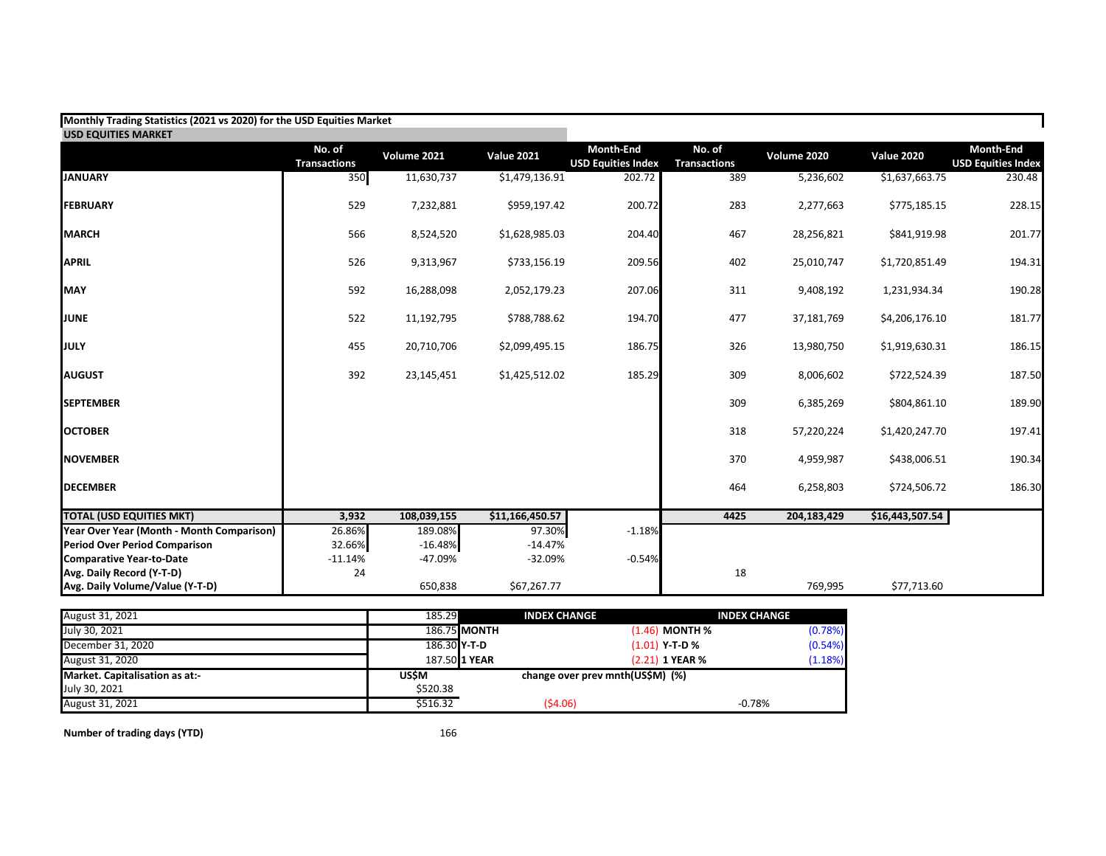| Monthly Trading Statistics (2021 vs 2020) for the USD Equities Market |                               |                    |                   |                                               |                               |               |                   |                                               |
|-----------------------------------------------------------------------|-------------------------------|--------------------|-------------------|-----------------------------------------------|-------------------------------|---------------|-------------------|-----------------------------------------------|
| <b>USD EQUITIES MARKET</b>                                            |                               |                    |                   |                                               |                               |               |                   |                                               |
|                                                                       | No. of<br><b>Transactions</b> | <b>Volume 2021</b> | <b>Value 2021</b> | <b>Month-End</b><br><b>USD Equities Index</b> | No. of<br><b>Transactions</b> | Volume 2020   | <b>Value 2020</b> | <b>Month-End</b><br><b>USD Equities Index</b> |
| <b>JANUARY</b>                                                        | 350                           | 11,630,737         | \$1,479,136.91    | 202.72                                        | 389                           | 5,236,602     | \$1,637,663.75    | 230.48                                        |
| <b>FEBRUARY</b>                                                       | 529                           | 7,232,881          | \$959,197.42      | 200.72                                        | 283                           | 2,277,663     | \$775,185.15      | 228.15                                        |
| <b>MARCH</b>                                                          | 566                           | 8,524,520          | \$1,628,985.03    | 204.40                                        | 467                           | 28,256,821    | \$841,919.98      | 201.77                                        |
| <b>APRIL</b>                                                          | 526                           | 9,313,967          | \$733,156.19      | 209.56                                        | 402                           | 25,010,747    | \$1,720,851.49    | 194.31                                        |
| <b>MAY</b>                                                            | 592                           | 16,288,098         | 2,052,179.23      | 207.06                                        | 311                           | 9,408,192     | 1,231,934.34      | 190.28                                        |
| <b>JUNE</b>                                                           | 522                           | 11,192,795         | \$788,788.62      | 194.70                                        | 477                           | 37,181,769    | \$4,206,176.10    | 181.77                                        |
| <b>JULY</b>                                                           | 455                           | 20,710,706         | \$2,099,495.15    | 186.75                                        | 326                           | 13,980,750    | \$1,919,630.31    | 186.15                                        |
| <b>AUGUST</b>                                                         | 392                           | 23,145,451         | \$1,425,512.02    | 185.29                                        | 309                           | 8,006,602     | \$722,524.39      | 187.50                                        |
| <b>SEPTEMBER</b>                                                      |                               |                    |                   |                                               | 309                           | 6,385,269     | \$804,861.10      | 189.90                                        |
| <b>OCTOBER</b>                                                        |                               |                    |                   |                                               | 318                           | 57,220,224    | \$1,420,247.70    | 197.41                                        |
| <b>NOVEMBER</b>                                                       |                               |                    |                   |                                               | 370                           | 4,959,987     | \$438,006.51      | 190.34                                        |
| <b>DECEMBER</b>                                                       |                               |                    |                   |                                               | 464                           | 6,258,803     | \$724,506.72      | 186.30                                        |
| <b>TOTAL (USD EQUITIES MKT)</b>                                       | 3,932                         | 108,039,155        | \$11,166,450.57   |                                               | 4425                          | 204, 183, 429 | \$16,443,507.54   |                                               |
| Year Over Year (Month - Month Comparison)                             | 26.86%                        | 189.08%            | 97.30%            | $-1.18%$                                      |                               |               |                   |                                               |
| <b>Period Over Period Comparison</b>                                  | 32.66%                        | $-16.48%$          | $-14.47%$         |                                               |                               |               |                   |                                               |
| <b>Comparative Year-to-Date</b>                                       | $-11.14%$                     | -47.09%            | $-32.09%$         | $-0.54%$                                      |                               |               |                   |                                               |
| Avg. Daily Record (Y-T-D)                                             | 24                            |                    |                   |                                               | 18                            |               |                   |                                               |
| Avg. Daily Volume/Value (Y-T-D)                                       |                               | 650,838            | \$67,267.77       |                                               |                               | 769,995       | \$77,713.60       |                                               |

| August 31, 2021                | 185.29       | <b>INDEX CHANGE</b> |                                  | <b>INDEX CHANGE</b> |
|--------------------------------|--------------|---------------------|----------------------------------|---------------------|
| July 30, 2021                  |              | 186.75 MONTH        | $(1.46)$ MONTH %                 | (0.78%)             |
| December 31, 2020              | 186.30 Y-T-D |                     | (1.01) Y-T-D %                   | (0.54%)             |
| August 31, 2020                |              | 187.50 1 YEAR       | $(2.21)$ 1 YEAR %                | (1.18%)             |
| Market. Capitalisation as at:- | USŚM         |                     | change over prev mnth(US\$M) (%) |                     |
| July 30, 2021                  | \$520.38     |                     |                                  |                     |
| August 31, 2021                | \$516.32     | (54.06)             |                                  | $-0.78%$            |

**Number of trading days (YTD)** 166